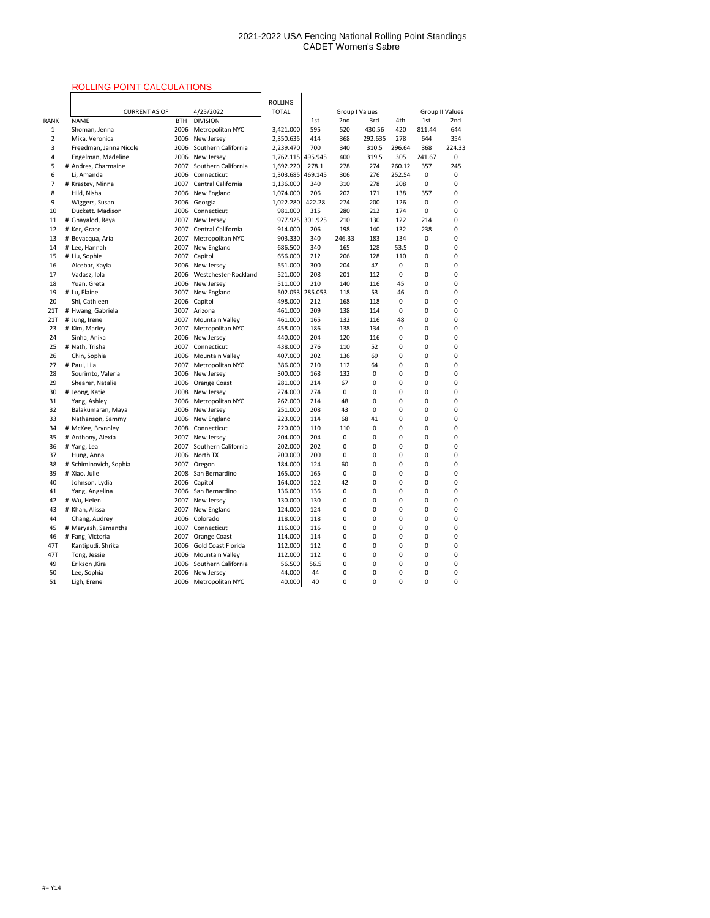# ROLLING POINT CALCULATIONS

|             | ROLLING POINT CALCULATIONS              |              |                             |                   |         |                       |            |        |                        |        |  |
|-------------|-----------------------------------------|--------------|-----------------------------|-------------------|---------|-----------------------|------------|--------|------------------------|--------|--|
|             |                                         |              |                             | <b>ROLLING</b>    |         |                       |            |        |                        |        |  |
|             | <b>CURRENT AS OF</b>                    |              | 4/25/2022                   | <b>TOTAL</b>      |         | <b>Group I Values</b> |            |        | <b>Group II Values</b> |        |  |
| <b>RANK</b> | <b>NAME</b>                             | <b>BTH</b>   | <b>DIVISION</b>             |                   | 1st     | 2nd                   | 3rd<br>4th |        | 1st                    | 2nd    |  |
| 1           | Shoman, Jenna                           | 2006         | Metropolitan NYC            | 3,421.000         | 595     | 520                   | 430.56     | 420    | 811.44                 | 644    |  |
| 2           | Mika, Veronica                          | 2006         | New Jersey                  | 2,350.635         | 414     | 368                   | 292.635    | 278    | 644                    | 354    |  |
| 3           | Freedman, Janna Nicole                  | 2006         | Southern California         | 2,239.470         | 700     | 340                   | 310.5      | 296.64 | 368                    | 224.33 |  |
| 4           | Engelman, Madeline                      | 2006         | New Jersey                  | 1,762.115         | 495.945 | 400                   | 319.5      | 305    | 241.67                 | 0      |  |
| 5           | # Andres, Charmaine                     | 2007         | Southern California         | 1,692.220         | 278.1   | 278                   | 274        | 260.12 | 357                    | 245    |  |
| 6           | Li, Amanda                              | 2006         | Connecticut                 | 1,303.685 469.145 |         | 306                   | 276        | 252.54 | $\mathbf 0$            | 0      |  |
| 7           | # Krastev, Minna                        | 2007         | Central California          | 1,136.000         | 340     | 310                   | 278        | 208    | 0                      | 0      |  |
| 8           | Hild, Nisha                             | 2006         | New England                 | 1,074.000         | 206     | 202                   | 171        | 138    | 357                    | 0      |  |
| 9           | Wiggers, Susan                          | 2006         | Georgia                     | 1,022.280         | 422.28  | 274                   | 200        | 126    | 0                      | 0      |  |
| 10          | Duckett. Madison                        | 2006         | Connecticut                 | 981.000           | 315     | 280                   | 212        | 174    | 0                      | 0      |  |
| 11          | # Ghayalod, Reya                        | 2007         | New Jersey                  | 977.925           | 301.925 | 210                   | 130        | 122    | 214                    | 0      |  |
| 12          | # Ker, Grace                            | 2007         | Central California          | 914.000           | 206     | 198                   | 140        | 132    | 238                    | 0      |  |
| 13          | # Bevacqua, Aria                        | 2007         | Metropolitan NYC            | 903.330           | 340     | 246.33                | 183        | 134    | 0                      | 0      |  |
| 14          | # Lee, Hannah                           | 2007         | New England                 | 686.500           | 340     | 165                   | 128        | 53.5   | 0                      | 0      |  |
| 15          | # Liu, Sophie                           | 2007         | Capitol                     | 656.000           | 212     | 206                   | 128        | 110    | 0                      | 0      |  |
| 16          | Alcebar, Kayla                          | 2006         | New Jersey                  | 551.000           | 300     | 204                   | 47         | 0      | 0                      | 0      |  |
| 17          | Vadasz, Ibla                            | 2006         | Westchester-Rockland        | 521.000           | 208     | 201                   | 112        | 0      | 0                      | 0      |  |
| 18          | Yuan, Greta                             | 2006         | New Jersey                  | 511.000           | 210     | 140                   | 116        | 45     | 0                      | 0      |  |
| 19          | # Lu, Elaine                            | 2007         | New England                 | 502.053           | 285.053 | 118                   | 53         | 46     | 0                      | 0      |  |
| 20          | Shi, Cathleen                           | 2006         | Capitol                     | 498.000           | 212     | 168                   | 118        | 0      | 0                      | 0      |  |
| 21T         | # Hwang, Gabriela                       | 2007         | Arizona                     | 461.000           | 209     | 138                   | 114        | 0      | 0                      | 0      |  |
| 21T         | # Jung, Irene                           | 2007         | <b>Mountain Valley</b>      | 461.000           | 165     | 132                   | 116        | 48     | 0                      | 0      |  |
| 23          | # Kim, Marley                           | 2007         | Metropolitan NYC            | 458.000           | 186     | 138                   | 134        | 0      | 0                      | 0      |  |
| 24          | Sinha, Anika                            | 2006         | New Jersey                  | 440.000           | 204     | 120                   | 116        | 0      | 0                      | 0      |  |
| 25          | # Nath, Trisha                          | 2007         | Connecticut                 | 438.000           | 276     | 110                   | 52         | 0      | 0                      | 0      |  |
| 26          | Chin, Sophia                            | 2006         | <b>Mountain Valley</b>      | 407.000           | 202     | 136                   | 69         | 0      | 0                      | 0      |  |
| 27          | # Paul, Lila                            | 2007         | Metropolitan NYC            | 386.000           | 210     | 112                   | 64         | 0      | 0                      | 0      |  |
| 28          | Sourimto, Valeria                       | 2006         | New Jersey                  | 300.000           | 168     | 132                   | 0          | 0      | 0                      | 0      |  |
| 29          | Shearer, Natalie                        | 2006         | Orange Coast                | 281.000           | 214     | 67                    | 0          | 0      | 0                      | 0      |  |
| 30          | # Jeong, Katie                          | 2008         | New Jersey                  | 274.000           | 274     | 0                     | 0          | 0      | 0                      | 0      |  |
| 31          | Yang, Ashley                            | 2006         | Metropolitan NYC            | 262.000           | 214     | 48                    | 0          | 0      | 0                      | 0      |  |
| 32          | Balakumaran, Maya                       | 2006         | New Jersey                  | 251.000           | 208     | 43                    | 0          | 0      | 0                      | 0      |  |
| 33          | Nathanson, Sammy                        | 2006         | New England                 | 223.000           | 114     | 68                    | 41         | 0      | 0                      | 0      |  |
| 34          | # McKee, Brynnley                       | 2008         | Connecticut                 | 220.000           | 110     | 110                   | 0          | 0      | 0                      |        |  |
| 35          | # Anthony, Alexia                       | 2007         | New Jersey                  | 204.000           | 204     | 0                     | 0          | 0      | 0                      | 0      |  |
| 36          | # Yang, Lea                             | 2007         | Southern California         | 202.000           | 202     | 0                     | 0          | 0      | 0                      | 0      |  |
| 37          | Hung, Anna                              | 2006         | North TX                    | 200.000           | 200     | 0                     | 0          | 0      | 0                      | 0      |  |
| 38          | # Schiminovich, Sophia                  | 2007         | Oregon                      | 184.000           | 124     | 60                    | 0          | 0      | 0                      | 0      |  |
| 39          | # Xiao, Julie                           | 2008         | San Bernardino              | 165.000           | 165     | 0                     | 0          | 0      | 0                      | U      |  |
| 40          | Johnson, Lydia                          | 2006         | Capitol                     | 164.000           | 122     | 42                    | 0          | 0      | 0                      | Ω      |  |
| 41          | Yang, Angelina                          | 2006         | San Bernardino              | 136.000           | 136     | 0                     | 0          | 0      | 0                      | 0      |  |
| 42          | # Wu, Helen                             | 2007         | New Jersey                  | 130.000           | 130     | 0                     | 0          | 0      | 0                      | 0      |  |
| 43          | # Khan, Alissa                          | 2007         | New England                 | 124.000           | 124     | 0                     | 0          | 0      | 0                      | 0      |  |
| 44          | Chang, Audrey                           | 2006         | Colorado                    | 118.000           | 118     | 0                     | 0          | 0      | 0                      | 0      |  |
|             |                                         | 2007         |                             | 116.000           | 116     |                       | 0          |        |                        |        |  |
| 45<br>46    | # Maryash, Samantha<br># Fang, Victoria | 2007         | Connecticut<br>Orange Coast | 114.000           | 114     | 0<br>0                | 0          | 0<br>0 | 0<br>0                 | 0      |  |
| 47T         | Kantipudi, Shrika                       | 2006         | Gold Coast Florida          | 112.000           | 112     | 0                     | 0          | 0      | 0                      | 0      |  |
| 47T         |                                         |              | <b>Mountain Valley</b>      |                   | 112     |                       |            |        |                        | 0      |  |
| 49          | Tong, Jessie<br>Erikson, Kira           | 2006<br>2006 | Southern California         | 112.000<br>56.500 | 56.5    | 0<br>0                | 0<br>0     | 0<br>0 | 0<br>0                 | 0      |  |
| 50          | Lee, Sophia                             | 2006         | New Jersey                  | 44.000            | 44      |                       | 0          | 0      |                        | 0      |  |
| 51          | Ligh, Erenei                            | 2006         | Metropolitan NYC            | 40.000            | 40      | 0<br>0                | 0          | 0      | 0<br>0                 | 0      |  |
|             |                                         |              |                             |                   |         |                       |            |        |                        |        |  |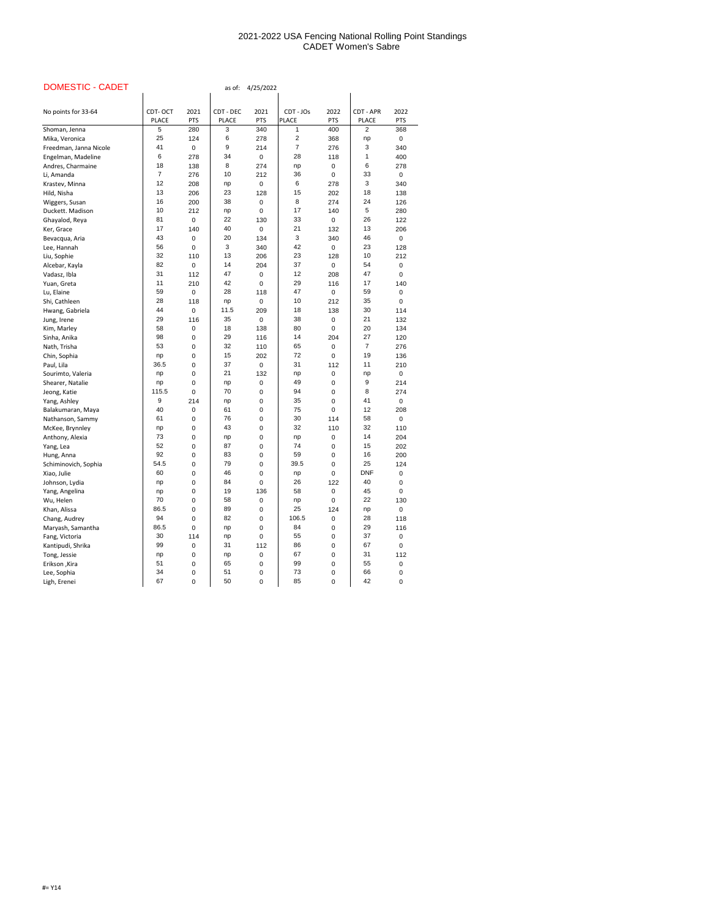| <b>DOMESTIC - CADET</b> |                |             | as of:       | 4/25/2022   |                |            |                |             |
|-------------------------|----------------|-------------|--------------|-------------|----------------|------------|----------------|-------------|
| No points for 33-64     | CDT-OCT        | 2021        | CDT - DEC    | 2021        | CDT - JOs      | 2022       | CDT - APR      | 2022        |
|                         | <b>PLACE</b>   | <b>PTS</b>  | <b>PLACE</b> | <b>PTS</b>  | <b>PLACE</b>   | <b>PTS</b> | <b>PLACE</b>   | <b>PTS</b>  |
| Shoman, Jenna           | 5              | 280         | 3            | 340         | 1              | 400        | $\overline{2}$ | 368         |
| Mika, Veronica          | 25             | 124         | 6            | 278         | $\overline{2}$ | 368        | np             | $\mathbf 0$ |
| Freedman, Janna Nicole  | 41             | 0           | 9            | 214         | 7              | 276        | 3              | 340         |
| Engelman, Madeline      | 6              | 278         | 34           | $\mathbf 0$ | 28             | 118        | 1              | 400         |
| Andres, Charmaine       | 18             | 138         | 8            | 274         | np             | 0          | 6              | 278         |
| Li, Amanda              | $\overline{7}$ | 276         | 10           | 212         | 36             | 0          | 33             | $\pmb{0}$   |
| Krastev, Minna          | 12             | 208         | np           | 0           | 6              | 278        | 3              | 340         |
| Hild, Nisha             | 13             | 206         | 23           | 128         | 15             | 202        | 18             | 138         |
| Wiggers, Susan          | 16             | 200         | 38           | 0           | 8              | 274        | 24             | 126         |
| Duckett. Madison        | 10             | 212         | np           | 0           | 17             | 140        | 5              | 280         |
| Ghayalod, Reya          | 81             | 0           | 22           | 130         | 33             | 0          | 26             | 122         |
| Ker, Grace              | 17             | 140         | 40           | $\mathbf 0$ | 21             | 132        | 13             | 206         |
| Bevacqua, Aria          | 43             | 0           | 20           | 134         | 3              | 340        | 46             | $\mathbf 0$ |
| Lee, Hannah             | 56             | 0           | 3            | 340         | 42             | 0          | 23             | 128         |
| Liu, Sophie             | 32             | 110         | 13           | 206         | 23             | 128        | 10             | 212         |
| Alcebar, Kayla          | 82             | 0           | 14           | 204         | 37             | 0          | 54             | 0           |
| Vadasz, Ibla            | 31             | 112         | 47           | 0           | 12             | 208        | 47             | $\Omega$    |
| Yuan, Greta             | 11             | 210         | 42           | 0           | 29             | 116        | 17             | 140         |
| Lu, Elaine              | 59             | 0           | 28           | 118         | 47             | 0          | 59             | 0           |
| Shi, Cathleen           | 28             | 118         | np           | $\pmb{0}$   | 10             | 212        | 35             | 0           |
| Hwang, Gabriela         | 44             | $\pmb{0}$   | 11.5         | 209         | 18             | 138        | 30             | 114         |
| Jung, Irene             | 29             | 116         | 35           | 0           | 38             | 0          | 21             | 132         |
| Kim, Marley             | 58             | 0           | 18           | 138         | 80             | 0          | 20             | 134         |
| Sinha, Anika            | 98             | 0           | 29           | 116         | 14             | 204        | 27             | 120         |
| Nath, Trisha            | 53             | 0           | 32           | 110         | 65             | 0          | 7              | 276         |
| Chin, Sophia            | np             | 0           | 15           | 202         | 72             | 0          | 19             | 136         |
| Paul, Lila              | 36.5           | 0           | 37           | 0           | 31             | 112        | 11             | 210         |
| Sourimto, Valeria       | np             | 0           | 21           | 132         | np             | 0          | np             | 0           |
| Shearer, Natalie        | np             | 0           | np           | 0           | 49             | 0          | 9              | 214         |
| Jeong, Katie            | 115.5          | $\mathbf 0$ | 70           | 0           | 94             | 0          | 8              | 274         |
| Yang, Ashley            | 9              | 214         | np           | 0           | 35             | 0          | 41             | $\mathbf 0$ |
| Balakumaran, Maya       | 40             | $\pmb{0}$   | 61           | 0           | 75             | 0          | 12             | 208         |
| Nathanson, Sammy        | 61             | 0           | 76           | 0           | 30             | 114        | 58             | $\mathbf 0$ |
| McKee, Brynnley         | np             | 0           | 43           | 0           | 32             | 110        | 32             | 110         |
| Anthony, Alexia         | 73             | 0           | np           | 0           | np             | 0          | 14             | 204         |
| Yang, Lea               | 52             | 0           | 87           | 0           | 74             | 0          | 15             | 202         |
| Hung, Anna              | 92             | 0           | 83           | 0           | 59             | 0          | 16             | 200         |
| Schiminovich, Sophia    | 54.5           | 0           | 79           | 0           | 39.5           | 0          | 25             | 124         |
| Xiao, Julie             | 60             | 0           | 46           | 0           | np             | $\Omega$   | <b>DNF</b>     | $\mathbf 0$ |
| Johnson, Lydia          | np             | 0           | 84           | 0           | 26             | 122        | 40             | 0           |
| Yang, Angelina          | np             | 0           | 19           | 136         | 58             | 0          | 45             | 0           |
| Wu, Helen               | 70             | 0           | 58           | 0           | np             | 0          | 22             | 130         |
| Khan, Alissa            | 86.5           | 0           | 89           | 0           | 25             | 124        | np             | $\mathbf 0$ |
| Chang, Audrey           | 94             | 0           | 82           | 0           | 106.5          | 0          | 28             | 118         |
| Maryash, Samantha       | 86.5           | $\mathbf 0$ | np           | 0           | 84             | 0          | 29             | 116         |
| Fang, Victoria          | 30             | 114         | np           | 0           | 55             | 0          | 37             | 0           |
| Kantipudi, Shrika       | 99             | $\mathbf 0$ | 31           | 112         | 86<br>67       | 0          | 67<br>31       | 0           |
| Tong, Jessie            | np<br>51       | 0           | np           | 0           |                | 0          |                | 112         |
| Erikson, Kira           | 34             | 0           | 65<br>51     | 0           | 99<br>73       | 0          | 55<br>66       | $\mathbf 0$ |
| Lee, Sophia             | 67             | 0           | 50           | 0           | 85             | 0          | 42             | 0           |
| Ligh, Erenei            |                | $\pmb{0}$   |              | 0           |                | 0          |                | 0           |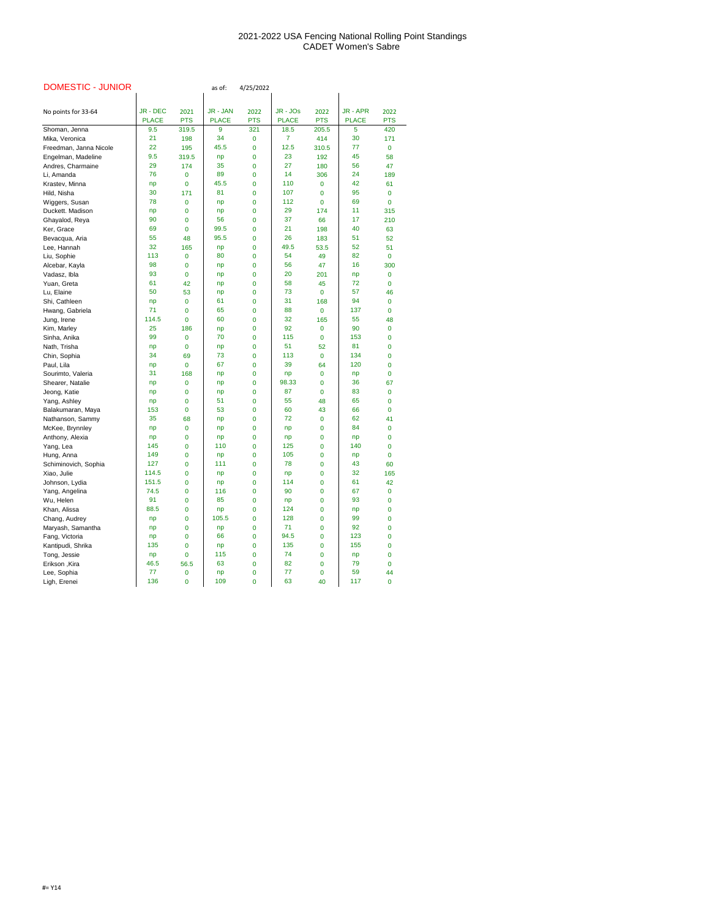| <b>DOMESTIC - JUNIOR</b> |              |             | as of:       | 4/25/2022   |              |             |              |             |
|--------------------------|--------------|-------------|--------------|-------------|--------------|-------------|--------------|-------------|
|                          |              |             |              |             |              |             |              |             |
| No points for 33-64      | JR - DEC     | 2021        | JR - JAN     | 2022        | JR - JOs     | 2022        | JR - APR     | 2022        |
|                          | <b>PLACE</b> | <b>PTS</b>  | <b>PLACE</b> | <b>PTS</b>  | <b>PLACE</b> | <b>PTS</b>  | <b>PLACE</b> | <b>PTS</b>  |
| Shoman, Jenna            | 9.5          | 319.5       | 9            | 321         | 18.5         | 205.5       | 5            | 420         |
| Mika, Veronica           | 21           | 198         | 34           | $\bf{0}$    | 7            | 414         | 30           | 171         |
| Freedman, Janna Nicole   | 22           | 195         | 45.5         | 0           | 12.5         | 310.5       | 77           | $\bf{0}$    |
| Engelman, Madeline       | 9.5          | 319.5       | np           | 0           | 23           | 192         | 45           | 58          |
| Andres, Charmaine        | 29           | 174         | 35           | $\mathbf 0$ | 27           | 180         | 56           | 47          |
| Li, Amanda               | 76           | 0           | 89           | 0           | 14           | 306         | 24           | 189         |
| Krastev, Minna           | np           | 0           | 45.5         | $\mathbf 0$ | 110          | 0           | 42           | 61          |
| Hild, Nisha              | 30           | 171         | 81           | $\mathbf 0$ | 107          | 0           | 95           | 0           |
| Wiggers, Susan           | 78           | 0           | np           | 0           | 112          | $\mathbf 0$ | 69           | $\bf{0}$    |
| Duckett. Madison         | np           | 0           | np           | $\mathbf 0$ | 29           | 174         | 11           | 315         |
| Ghayalod, Reya           | 90           | 0           | 56           | $\mathbf 0$ | 37           | 66          | 17           | 210         |
| Ker, Grace               | 69           | 0           | 99.5         | 0           | 21           | 198         | 40           | 63          |
| Bevacqua, Aria           | 55           | 48          | 95.5         | $\mathbf 0$ | 26           | 183         | 51           | 52          |
| Lee, Hannah              | 32           | 165         | np           | $\mathbf 0$ | 49.5         | 53.5        | 52           | 51          |
| Liu, Sophie              | 113          | 0           | 80           | $\mathbf 0$ | 54           | 49          | 82           | $\mathbf 0$ |
| Alcebar, Kayla           | 98           | 0           | np           | $\mathbf 0$ | 56           | 47          | 16           | 300         |
| Vadasz, Ibla             | 93           | 0           | np           | 0           | 20           | 201         | np           | ${\bf 0}$   |
| Yuan, Greta              | 61           | 42          | np           | $\mathbf 0$ | 58           | 45          | 72           | 0           |
| Lu, Elaine               | 50           | 53          | np           | $\mathbf 0$ | 73           | 0           | 57           | 46          |
| Shi, Cathleen            | np           | 0           | 61           | 0           | 31           | 168         | 94           | $\pmb{0}$   |
| Hwang, Gabriela          | 71           | 0           | 65           | $\mathbf 0$ | 88           | 0           | 137          | $\bf{0}$    |
| Jung, Irene              | 114.5        | 0           | 60           | $\mathbf 0$ | 32           | 165         | 55           | 48          |
| Kim, Marley              | 25           | 186         | np           | 0           | 92           | 0           | 90           | $\pmb{0}$   |
| Sinha, Anika             | 99           | 0           | 70           | $\mathbf 0$ | 115          | 0           | 153          | 0           |
| Nath, Trisha             | np           | $\mathbf 0$ | np           | 0           | 51           | 52          | 81           | $\pmb{0}$   |
| Chin, Sophia             | 34           | 69          | 73           | 0           | 113          | 0           | 134          | 0           |
| Paul, Lila               | np           | 0           | 67           | $\bf{0}$    | 39           | 64          | 120          | 0           |
| Sourimto, Valeria        | 31           | 168         | np           | $\bf{0}$    | np           | 0           | np           | $\mathbf 0$ |
| Shearer, Natalie         | np           | 0           | np           | $\mathbf 0$ | 98.33        | 0           | 36           | 67          |
| Jeong, Katie             | np           | 0           | np           | $\mathbf 0$ | 87           | 0           | 83           | 0           |
| Yang, Ashley             | np           | 0           | 51           | 0           | 55           | 48          | 65           | 0           |
| Balakumaran, Maya        | 153          | 0           | 53           | $\mathbf 0$ | 60           | 43          | 66           | $\bf{0}$    |
| Nathanson, Sammy         | 35           | 68          | np           | $\mathbf 0$ | 72           | 0           | 62           | 41          |
| McKee, Brynnley          | np           | 0           | np           | $\mathbf 0$ | np           | 0           | 84           | 0           |
| Anthony, Alexia          | np           | 0           | np           | $\mathbf 0$ | np           | 0           | np           | 0           |
| Yang, Lea                | 145          | 0           | 110          | $\mathbf 0$ | 125          | 0           | 140          | $\pmb{0}$   |
| Hung, Anna               | 149          | 0           | np           | 0           | 105          | 0           | np           | 0           |
| Schiminovich, Sophia     | 127          | 0           | 111          | $\mathbf 0$ | 78           | 0           | 43           | 60          |
| Xiao, Julie              | 114.5        | 0           | np           | 0           | np           | 0           | 32           | 165         |
| Johnson, Lydia           | 151.5        | 0           | np           | $\mathbf 0$ | 114          | 0           | 61           | 42          |
| Yang, Angelina           | 74.5         | 0           | 116          | $\mathbf 0$ | 90           | 0           | 67           | 0           |
| Wu, Helen                | 91           | 0           | 85           | 0           | np           | 0           | 93           | 0           |
| Khan, Alissa             | 88.5         | 0           | np           | $\mathbf 0$ | 124          | 0           | np           | 0           |
| Chang, Audrey            | np           | 0           | 105.5        | 0           | 128          | 0           | 99           | 0           |
| Maryash, Samantha        | np           | 0           | np           | $\mathbf 0$ | 71           | 0           | 92           | 0           |
| Fang, Victoria           | np           | 0           | 66           | $\mathbf 0$ | 94.5         | 0           | 123          | 0           |
| Kantipudi, Shrika        | 135          | 0           | np           | $\mathbf 0$ | 135          | 0           | 155          | 0           |
| Tong, Jessie             | np           | 0           | 115          | $\mathbf 0$ | 74           | 0           | np           | 0           |
| Erikson, Kira            | 46.5         | 56.5        | 63           | $\mathbf 0$ | 82           | 0           | 79           | 0           |
| Lee, Sophia              | 77           | 0           | np           | 0           | 77           | 0           | 59           | 44          |
| Ligh, Erenei             | 136          | 0           | 109          | $\mathbf 0$ | 63           | 40          | 117          | $\pmb{0}$   |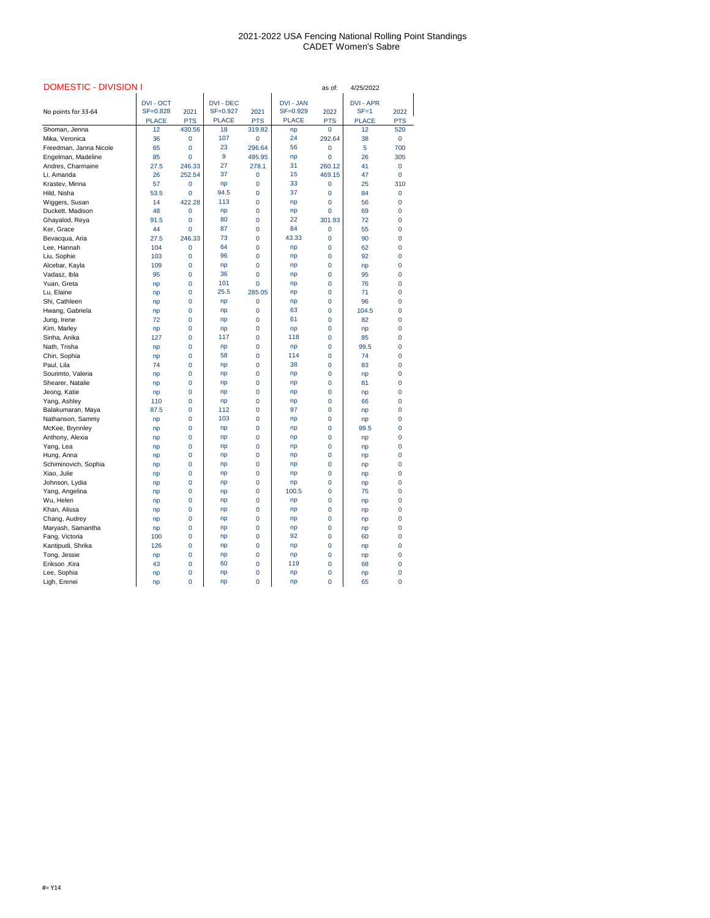| <b>DOMESTIC - DIVISION I</b> |                  |                |                  |            |                  | as of:     | 4/25/2022        |                |
|------------------------------|------------------|----------------|------------------|------------|------------------|------------|------------------|----------------|
|                              | <b>DVI - OCT</b> |                | <b>DVI - DEC</b> |            | <b>DVI - JAN</b> |            | <b>DVI - APR</b> |                |
| No points for 33-64          | SF=0.828         | 2021           | SF=0.927         | 2021       | SF=0.929         | 2022       | $SF = 1$         | 2022           |
|                              | <b>PLACE</b>     | <b>PTS</b>     | <b>PLACE</b>     | <b>PTS</b> | <b>PLACE</b>     | <b>PTS</b> | <b>PLACE</b>     | <b>PTS</b>     |
| Shoman, Jenna                | 12               | 430.56         | 18               | 319.82     | np               | 0          | 12               | 520            |
| Mika, Veronica               | 36               | 0              | 107              | 0          | 24               | 292.64     | 38               | $\overline{0}$ |
| Freedman, Janna Nicole       | 65               | 0              | 23               | 296.64     | 56               | 0          | 5                | 700            |
| Engelman, Madeline           | 85               | $\overline{0}$ | 9                | 495.95     | np               | 0          | 26               | 305            |
| Andres, Charmaine            | 27.5             | 246.33         | 27               | 278.1      | 31               | 260.12     | 41               | $\mathbf 0$    |
| Li, Amanda                   | 26               | 252.54         | 37               | 0          | 15               | 469.15     | 47               | 0              |
| Krastev, Minna               | 57               | 0              | np               | 0          | 33               | 0          | 25               | 310            |
| Hild, Nisha                  | 53.5             | 0              | 94.5             | 0          | 37               | 0          | 84               | 0              |
| Wiggers, Susan               | 14               | 422.28         | 113              | 0          | np               | 0          | 56               | 0              |
| Duckett. Madison             | 48               | 0              | np               | 0          | np               | 0          | 69               | 0              |
| Ghayalod, Reya               | 91.5             | 0              | 80               | 0          | 22               | 301.93     | 72               | $\mathbf 0$    |
| Ker, Grace                   | 44               | 0              | 87               | 0          | 84               | 0          | 55               | 0              |
| Bevacqua, Aria               | 27.5             | 246.33         | 73               | 0          | 43.33            | 0          | 90               | 0              |
| Lee, Hannah                  | 104              | 0              | 64               | 0          | np               | 0          | 62               | 0              |
| Liu, Sophie                  | 103              | 0              | 96               | 0          | np               | 0          | 92               | 0              |
| Alcebar, Kayla               | 109              | 0              | np               | 0          | np               | 0          | np               | 0              |
| Vadasz, Ibla                 | 95               | 0              | 36               | 0          | np               | 0          | 95               | 0              |
| Yuan, Greta                  | np               | 0              | 101              | 0          | np               | 0          | 76               | 0              |
| Lu, Elaine                   | np               | 0              | 25.5             | 285.05     | np               | 0          | 71               | 0              |
| Shi, Cathleen                | np               | 0              | np               | 0          | np               | 0          | 96               | 0              |
| Hwang, Gabriela              | np               | 0              | np               | 0          | 63               | 0          | 104.5            | 0              |
| Jung, Irene                  | 72               | 0              | np               | 0          | 61               | 0          | 82               | $\mathbf 0$    |
| Kim, Marley                  | np               | 0              | np               | 0          | np               | 0          | np               | 0              |
| Sinha, Anika                 | 127              | 0              | 117              | 0          | 118              | 0          | 85               | 0              |
| Nath, Trisha                 | np               | 0              | np               | 0          | np               | 0          | 99.5             | 0              |
| Chin, Sophia                 | np               | 0              | 58               | 0          | 114              | 0          | 74               | 0              |
| Paul, Lila                   | 74               | $\overline{0}$ | np               | 0          | 38               | 0          | 83               | 0              |
| Sourimto, Valeria            | np               | 0              | np               | 0          | np               | 0          | np               | 0              |
| Shearer, Natalie             | np               | 0              | np               | 0          | np               | 0          | 81               | 0              |
| Jeong, Katie                 | np               | 0              | np               | 0          | np               | 0          | np               | 0              |
| Yang, Ashley                 | 110              | 0              | np               | 0          | np               | 0          | 66               | 0              |
| Balakumaran, Maya            | 87.5             | 0              | 112              | 0          | 97               | 0          | np               | 0              |
| Nathanson, Sammy             | np               | 0              | 103              | 0          | np               | 0          | np               | 0              |
| McKee, Brynnley              | np               | 0              | np               | 0          | np               | 0          | 99.5             | 0              |
| Anthony, Alexia              | np               | 0              | np               | 0          | np               | 0          | np               | 0              |
| Yang, Lea                    | np               | 0              | np               | 0          | np               | 0          | np               | 0              |
| Hung, Anna                   | np               | 0              | np               | 0          | np               | 0          | np               | 0              |
| Schiminovich, Sophia         | np               | 0              | np               | 0          | np               | 0          | np               | 0              |
| Xiao, Julie                  | np               | 0              | np               | 0          | np               | 0          | np               | 0              |
| Johnson, Lydia               | np               | 0              | np               | 0          | np               | 0          | np               | 0              |
| Yang, Angelina               | np               | 0              | np               | 0          | 100.5            | 0          | 75               | 0              |
| Wu, Helen                    | np               | 0              | np               | 0          | np               | 0          | np               | 0              |
| Khan, Alissa                 | np               | 0              | np               | 0          | np               | 0          | np               | 0              |
| Chang, Audrey                | np               | 0              | np               | 0          | np               | 0          | np               | 0              |
| Maryash, Samantha            | np               | 0              | np               | 0          | np               | 0          | np               | 0              |
| Fang, Victoria               | 100              | 0              | np               | 0          | 92               | 0          | 60               | 0              |
| Kantipudi, Shrika            | 126              | 0              | np               | 0          | np               | 0          | np               | 0              |
| Tong, Jessie                 | np               | 0              | np               | 0          | np               | 0          | np               | 0              |
| Erikson, Kira                | 43               | 0              | 60               | 0          | 119              | 0          | 68               | 0              |
| Lee, Sophia                  | np               | 0              | np               | 0          | np               | 0          | np               | 0              |
| Ligh, Erenei                 | np               | 0              | np               | 0          | np               | 0          | 65               | 0              |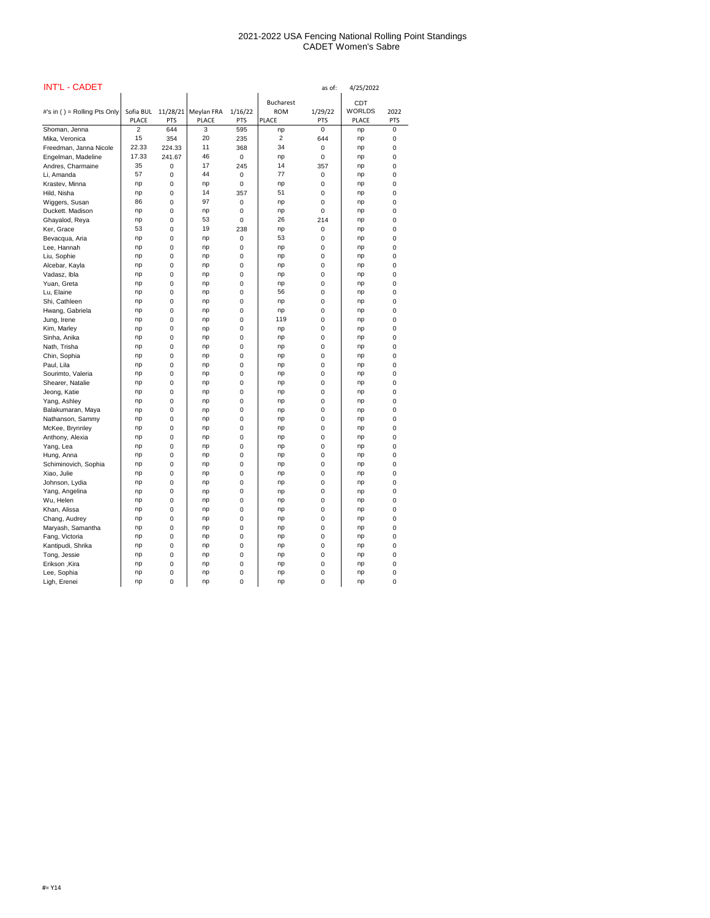| <b>INT'L - CADET</b>         |                |            |              | as of:      |                  |            |               | 4/25/2022  |  |  |
|------------------------------|----------------|------------|--------------|-------------|------------------|------------|---------------|------------|--|--|
|                              |                |            |              |             | <b>Bucharest</b> |            | <b>CDT</b>    |            |  |  |
| #'s in () = Rolling Pts Only | Sofia BUL      | 11/28/21   | Meylan FRA   | 1/16/22     | <b>ROM</b>       | 1/29/22    | <b>WORLDS</b> | 2022       |  |  |
|                              | <b>PLACE</b>   | <b>PTS</b> | <b>PLACE</b> | <b>PTS</b>  | <b>PLACE</b>     | <b>PTS</b> | <b>PLACE</b>  | <b>PTS</b> |  |  |
| Shoman, Jenna                | $\overline{2}$ | 644        | 3            | 595         | np               | 0          | np            | 0          |  |  |
| Mika, Veronica               | 15             | 354        | 20           | 235         | 2                | 644        | np            | 0          |  |  |
| Freedman, Janna Nicole       | 22.33          | 224.33     | 11           | 368         | 34               | 0          | np            | 0          |  |  |
| Engelman, Madeline           | 17.33          | 241.67     | 46           | $\mathbf 0$ | np               | 0          | np            | 0          |  |  |
| Andres, Charmaine            | 35             | 0          | 17           | 245         | 14               | 357        | np            | 0          |  |  |
| Li, Amanda                   | 57             | 0          | 44           | 0           | 77               | 0          | np            | 0          |  |  |
| Krastev, Minna               | np             | 0          | np           | 0           | np               | 0          | np            | 0          |  |  |
| Hild, Nisha                  | np             | 0          | 14           | 357         | 51               | 0          | np            | 0          |  |  |
| Wiggers, Susan               | 86             | 0          | 97           | 0           | np               | 0          | np            | 0          |  |  |
| Duckett. Madison             | np             | 0          | np           | 0           | np               | 0          | np            | 0          |  |  |
| Ghayalod, Reya               | np             | 0          | 53           | 0           | 26               | 214        | np            | 0          |  |  |
| Ker, Grace                   | 53             | 0          | 19           | 238         | np               | 0          | np            | 0          |  |  |
| Bevacqua, Aria               | np             | 0          | np           | 0           | 53               | 0          | np            | 0          |  |  |
| Lee, Hannah                  | np             | 0          | np           | 0           | np               | 0          | np            | 0          |  |  |
| Liu, Sophie                  | np             | 0          | np           | 0           | np               | 0          | np            | 0          |  |  |
| Alcebar, Kayla               | np             | 0          | np           | 0           | np               | 0          | np            | 0          |  |  |
| Vadasz, Ibla                 | np             | 0          | np           | 0           |                  | 0          |               | 0          |  |  |
| Yuan, Greta                  | np             | 0          | np           |             | np<br>np         | 0          | np            | 0          |  |  |
|                              |                |            |              | 0           | 56               |            | np            |            |  |  |
| Lu, Elaine                   | np             | 0<br>0     | np           | 0           |                  | 0          | np            | 0          |  |  |
| Shi, Cathleen                | np             |            | np           | 0           | np               | 0          | np            | 0          |  |  |
| Hwang, Gabriela              | np             | 0          | np           | 0           | np<br>119        | 0          | np            | 0          |  |  |
| Jung, Irene                  | np             | 0          | np           | 0           |                  | 0          | np            | 0          |  |  |
| Kim, Marley                  | np             | 0          | np           | 0           | np               | 0          | np            | 0          |  |  |
| Sinha, Anika                 | np             | 0          | np           | 0           | np               | 0          | np            | 0          |  |  |
| Nath, Trisha                 | np             | 0          | np           | 0           | np               | 0          | np            | 0          |  |  |
| Chin, Sophia                 | np             | 0          | np           | 0           | np               | 0          | np            | 0          |  |  |
| Paul, Lila                   | np             | 0          | np           | $\mathbf 0$ | np               | 0          | np            | 0          |  |  |
| Sourimto, Valeria            | np             | 0          | np           | 0           | np               | 0          | np            | 0          |  |  |
| Shearer, Natalie             | np             | 0          | np           | 0           | np               | 0          | np            | 0          |  |  |
| Jeong, Katie                 | np             | 0          | np           | 0           | np               | 0          | np            | 0          |  |  |
| Yang, Ashley                 | np             | 0          | np           | 0           | np               | 0          | np            | 0          |  |  |
| Balakumaran, Maya            | np             | 0          | np           | 0           | np               | 0          | np            | 0          |  |  |
| Nathanson, Sammy             | np             | 0          | np           | 0           | np               | 0          | np            | 0          |  |  |
| McKee, Brynnley              | np             | 0          | np           | 0           | np               | 0          | np            | 0          |  |  |
| Anthony, Alexia              | np             | 0          | np           | 0           | np               | 0          | np            | 0          |  |  |
| Yang, Lea                    | np             | 0          | np           | 0           | np               | 0          | np            | 0          |  |  |
| Hung, Anna                   | np             | 0          | np           | 0           | np               | 0          | np            | 0          |  |  |
| Schiminovich, Sophia         | np             | 0          | np           | 0           | np               | 0          | np            | 0          |  |  |
| Xiao, Julie                  | np             | 0          | np           | 0           | np               | 0          | np            | 0          |  |  |
| Johnson, Lydia               | np             | 0          | np           | 0           | np               | 0          | np            | 0          |  |  |
| Yang, Angelina               | np             | 0          | np           | 0           | np               | 0          | np            | 0          |  |  |
| Wu, Helen                    | np             | 0          | np           | 0           | np               | 0          | np            | 0          |  |  |
| Khan, Alissa                 | np             | 0          | np           | 0           | np               | 0          | np            | 0          |  |  |
| Chang, Audrey                | np             | 0          | np           | 0           | np               | 0          | np            | 0          |  |  |
| Maryash, Samantha            | np             | 0          | np           | 0           | np               | 0          | np            | 0          |  |  |
| Fang, Victoria               | np             | 0          | np           | 0           | np               | 0          | np            | 0          |  |  |
| Kantipudi, Shrika            | np             | 0          | np           | 0           | np               | 0          | np            | 0          |  |  |
| Tong, Jessie                 | np             | 0          | np           | 0           | np               | 0          | np            | 0          |  |  |
| Erikson, Kira                | np             | 0          | np           | 0           | np               | 0          | np            | 0          |  |  |
| Lee, Sophia                  | np             | 0          | np           | 0           | np               | 0          | np            | 0          |  |  |
| Ligh, Erenei                 | np             | 0          | np           | $\pmb{0}$   | np               | 0          | np            | 0          |  |  |